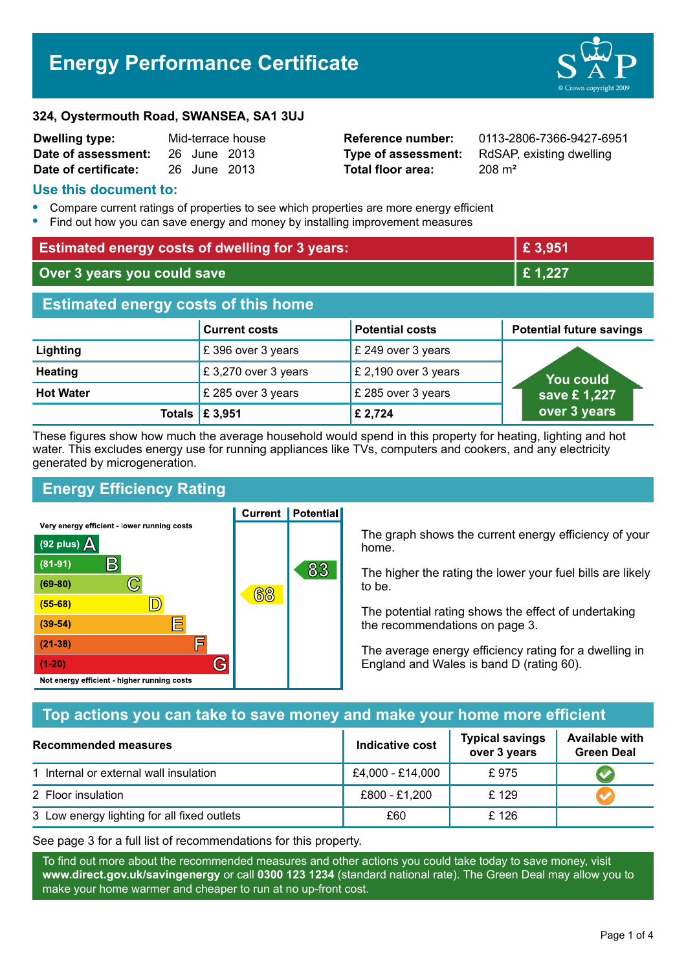# **Energy Performance Certificate**



#### **324, Oystermouth Road, SWANSEA, SA1 3UJ**

| <b>Dwelling type:</b> | Mid-terrace house |              |  |
|-----------------------|-------------------|--------------|--|
| Date of assessment:   |                   | 26 June 2013 |  |
| Date of certificate:  |                   | 26 June 2013 |  |

**Total floor area:** 208 m<sup>2</sup>

**Reference number:** 0113-2806-7366-9427-6951 **Type of assessment:** RdSAP, existing dwelling

#### **Use this document to:**

- **•** Compare current ratings of properties to see which properties are more energy efficient
- **•** Find out how you can save energy and money by installing improvement measures

| <b>Estimated energy costs of dwelling for 3 years:</b> |                      |                        | £ 3,951                         |  |
|--------------------------------------------------------|----------------------|------------------------|---------------------------------|--|
| Over 3 years you could save                            |                      | £1,227                 |                                 |  |
| <b>Estimated energy costs of this home</b>             |                      |                        |                                 |  |
|                                                        | <b>Current costs</b> | <b>Potential costs</b> | <b>Potential future savings</b> |  |
| Lighting                                               | £396 over 3 years    | £ 249 over 3 years     |                                 |  |
| <b>Heating</b>                                         | £3,270 over 3 years  | £ 2,190 over 3 years   | <b>You could</b>                |  |
| <b>Hot Water</b>                                       | £ 285 over 3 years   | £ 285 over 3 years     | save £1,227                     |  |
| Totals                                                 | £ 3,951              | £ 2,724                | over 3 years                    |  |

These figures show how much the average household would spend in this property for heating, lighting and hot water. This excludes energy use for running appliances like TVs, computers and cookers, and any electricity generated by microgeneration.

**Current | Potential** 

# **Energy Efficiency Rating**

Very energy efficient - lower running costs



The graph shows the current energy efficiency of your home.

The higher the rating the lower your fuel bills are likely to be.

The potential rating shows the effect of undertaking the recommendations on page 3.

The average energy efficiency rating for a dwelling in England and Wales is band D (rating 60).

# **Top actions you can take to save money and make your home more efficient**

| Recommended measures                        | Indicative cost  | <b>Typical savings</b><br>over 3 years | <b>Available with</b><br><b>Green Deal</b> |
|---------------------------------------------|------------------|----------------------------------------|--------------------------------------------|
| 1 Internal or external wall insulation      | £4,000 - £14,000 | £975                                   |                                            |
| 2 Floor insulation                          | £800 - £1,200    | £129                                   |                                            |
| 3 Low energy lighting for all fixed outlets | £60              | £126                                   |                                            |

See page 3 for a full list of recommendations for this property.

To find out more about the recommended measures and other actions you could take today to save money, visit **www.direct.gov.uk/savingenergy** or call **0300 123 1234** (standard national rate). The Green Deal may allow you to make your home warmer and cheaper to run at no up-front cost.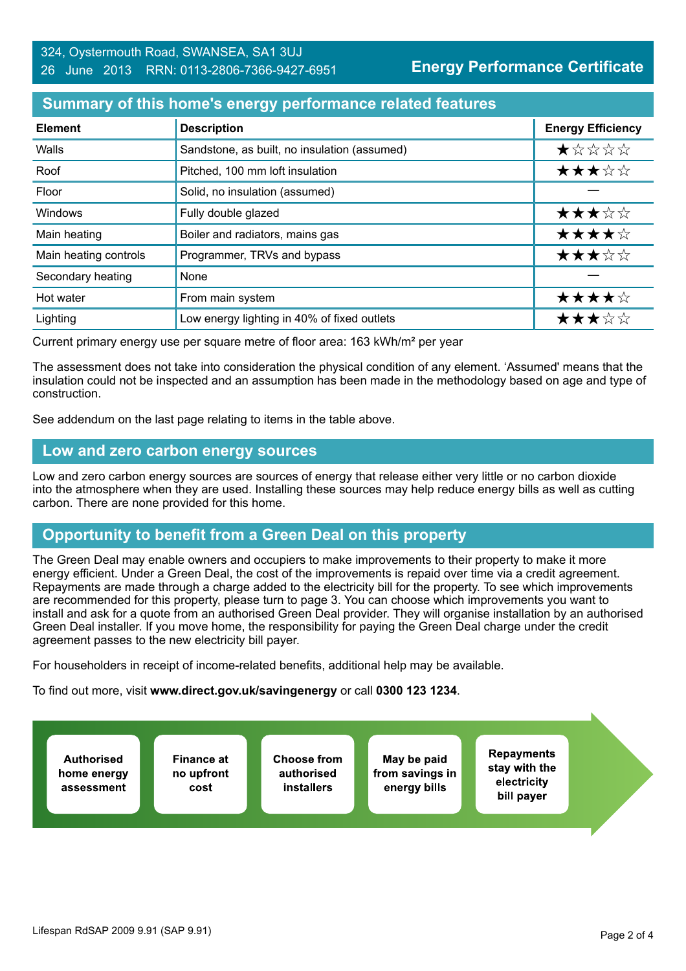#### **Summary of this home's energy performance related features**

| <b>Element</b>        | <b>Description</b>                           | <b>Energy Efficiency</b> |
|-----------------------|----------------------------------------------|--------------------------|
| Walls                 | Sandstone, as built, no insulation (assumed) | $\star$ * * * *          |
| Roof                  | Pitched, 100 mm loft insulation              | ★★★☆☆                    |
| Floor                 | Solid, no insulation (assumed)               |                          |
| Windows               | Fully double glazed                          | ★★★☆☆                    |
| Main heating          | Boiler and radiators, mains gas              | ★★★★☆                    |
| Main heating controls | Programmer, TRVs and bypass                  | ★★★☆☆                    |
| Secondary heating     | None                                         |                          |
| Hot water             | From main system                             | ★★★★☆                    |
| Lighting              | Low energy lighting in 40% of fixed outlets  | ★★★☆☆                    |

Current primary energy use per square metre of floor area: 163 kWh/m² per year

The assessment does not take into consideration the physical condition of any element. 'Assumed' means that the insulation could not be inspected and an assumption has been made in the methodology based on age and type of construction.

See addendum on the last page relating to items in the table above.

#### **Low and zero carbon energy sources**

Low and zero carbon energy sources are sources of energy that release either very little or no carbon dioxide into the atmosphere when they are used. Installing these sources may help reduce energy bills as well as cutting carbon. There are none provided for this home.

#### **Opportunity to benefit from a Green Deal on this property**

The Green Deal may enable owners and occupiers to make improvements to their property to make it more energy efficient. Under a Green Deal, the cost of the improvements is repaid over time via a credit agreement. Repayments are made through a charge added to the electricity bill for the property. To see which improvements are recommended for this property, please turn to page 3. You can choose which improvements you want to install and ask for a quote from an authorised Green Deal provider. They will organise installation by an authorised Green Deal installer. If you move home, the responsibility for paying the Green Deal charge under the credit agreement passes to the new electricity bill payer.

For householders in receipt of income-related benefits, additional help may be available.

To find out more, visit **www.direct.gov.uk/savingenergy** or call **0300 123 1234**.

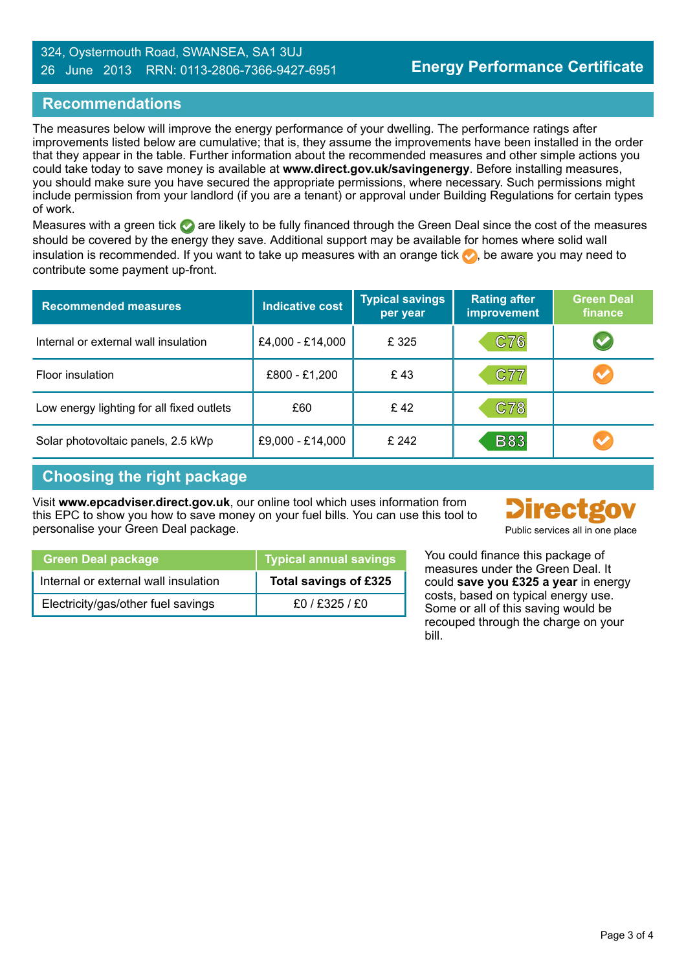#### 324, Oystermouth Road, SWANSEA, SA1 3UJ 26 June 2013 RRN: 0113-2806-7366-9427-6951

# **Recommendations**

The measures below will improve the energy performance of your dwelling. The performance ratings after improvements listed below are cumulative; that is, they assume the improvements have been installed in the order that they appear in the table. Further information about the recommended measures and other simple actions you could take today to save money is available at **www.direct.gov.uk/savingenergy**. Before installing measures, you should make sure you have secured the appropriate permissions, where necessary. Such permissions might include permission from your landlord (if you are a tenant) or approval under Building Regulations for certain types of work.

Measures with a green tick  $\bullet$  are likely to be fully financed through the Green Deal since the cost of the measures should be covered by the energy they save. Additional support may be available for homes where solid wall insulation is recommended. If you want to take up measures with an orange tick  $\blacklozenge$ , be aware you may need to contribute some payment up-front.

| <b>Recommended measures</b>               | <b>Indicative cost</b> | <b>Typical savings</b><br>per year | <b>Rating after</b><br><b>improvement</b> | <b>Green Deal</b><br>finance |
|-------------------------------------------|------------------------|------------------------------------|-------------------------------------------|------------------------------|
| Internal or external wall insulation      | £4,000 - £14,000       | £ 325                              | C76                                       |                              |
| Floor insulation                          | £800 - £1,200          | £43                                | C77                                       | $\blacktriangledown$         |
| Low energy lighting for all fixed outlets | £60                    | £42                                | C78                                       |                              |
| Solar photovoltaic panels, 2.5 kWp        | £9,000 - £14,000       | £242                               | <b>B83</b>                                |                              |

# **Choosing the right package**

Visit **www.epcadviser.direct.gov.uk**, our online tool which uses information from this EPC to show you how to save money on your fuel bills. You can use this tool to personalise your Green Deal package. Public services all in one place



| <b>Green Deal package</b>            | <b>Typical annual savings</b> |
|--------------------------------------|-------------------------------|
| Internal or external wall insulation | Total savings of £325         |
| Electricity/gas/other fuel savings   | $f0/$ $f325/$ $f0$            |

You could finance this package of measures under the Green Deal. It could **save you £325 a year** in energy costs, based on typical energy use. Some or all of this saving would be recouped through the charge on your bill.